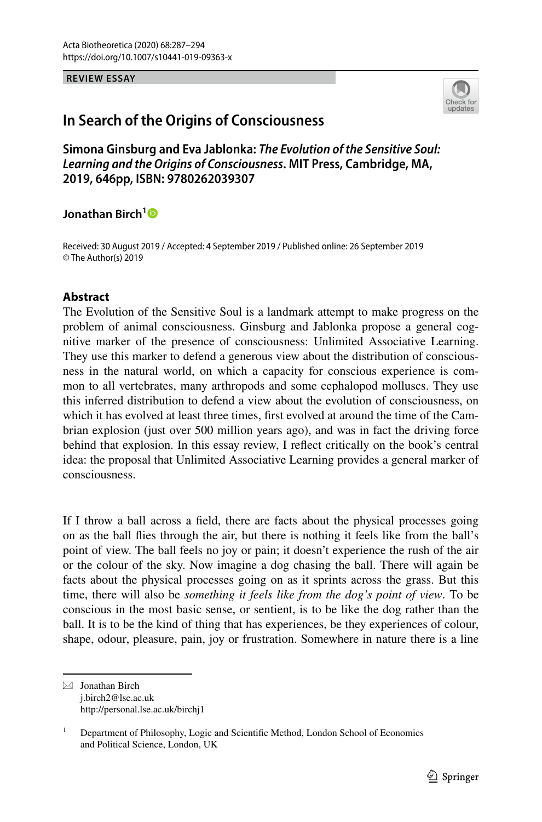#### **REVIEW ESSAY**



# **In Search of the Origins of Consciousness**

**Simona Ginsburg and Eva Jablonka:** *The Evolution of the Sensitive Soul: Learning and the Origins of Consciousness***. MIT Press, Cambridge, MA, 2019, 646pp, ISBN: 9780262039307**

## **Jonathan Birch[1](http://orcid.org/0000-0001-7517-4759)**

Received: 30 August 2019 / Accepted: 4 September 2019 / Published online: 26 September 2019 © The Author(s) 2019

### **Abstract**

The Evolution of the Sensitive Soul is a landmark attempt to make progress on the problem of animal consciousness. Ginsburg and Jablonka propose a general cognitive marker of the presence of consciousness: Unlimited Associative Learning. They use this marker to defend a generous view about the distribution of consciousness in the natural world, on which a capacity for conscious experience is common to all vertebrates, many arthropods and some cephalopod molluscs. They use this inferred distribution to defend a view about the evolution of consciousness, on which it has evolved at least three times, frst evolved at around the time of the Cambrian explosion (just over 500 million years ago), and was in fact the driving force behind that explosion. In this essay review, I refect critically on the book's central idea: the proposal that Unlimited Associative Learning provides a general marker of consciousness.

If I throw a ball across a feld, there are facts about the physical processes going on as the ball fies through the air, but there is nothing it feels like from the ball's point of view. The ball feels no joy or pain; it doesn't experience the rush of the air or the colour of the sky. Now imagine a dog chasing the ball. There will again be facts about the physical processes going on as it sprints across the grass. But this time, there will also be *something it feels like from the dog's point of view*. To be conscious in the most basic sense, or sentient, is to be like the dog rather than the ball. It is to be the kind of thing that has experiences, be they experiences of colour, shape, odour, pleasure, pain, joy or frustration. Somewhere in nature there is a line

 $\boxtimes$  Jonathan Birch j.birch2@lse.ac.uk http://personal.lse.ac.uk/birchj1

<sup>&</sup>lt;sup>1</sup> Department of Philosophy, Logic and Scientific Method, London School of Economics and Political Science, London, UK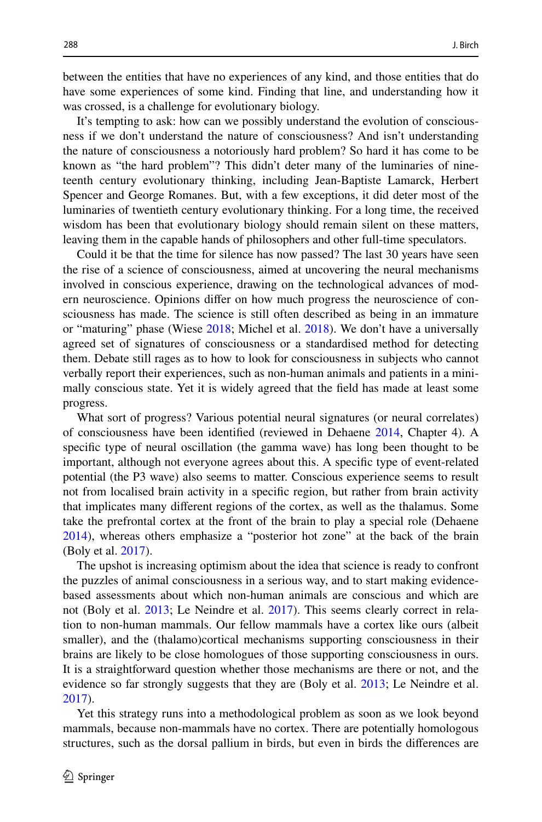between the entities that have no experiences of any kind, and those entities that do have some experiences of some kind. Finding that line, and understanding how it was crossed, is a challenge for evolutionary biology.

It's tempting to ask: how can we possibly understand the evolution of consciousness if we don't understand the nature of consciousness? And isn't understanding the nature of consciousness a notoriously hard problem? So hard it has come to be known as "the hard problem"? This didn't deter many of the luminaries of nineteenth century evolutionary thinking, including Jean-Baptiste Lamarck, Herbert Spencer and George Romanes. But, with a few exceptions, it did deter most of the luminaries of twentieth century evolutionary thinking. For a long time, the received wisdom has been that evolutionary biology should remain silent on these matters, leaving them in the capable hands of philosophers and other full-time speculators.

Could it be that the time for silence has now passed? The last 30 years have seen the rise of a science of consciousness, aimed at uncovering the neural mechanisms involved in conscious experience, drawing on the technological advances of modern neuroscience. Opinions difer on how much progress the neuroscience of consciousness has made. The science is still often described as being in an immature or "maturing" phase (Wiese [2018](#page-7-0); Michel et al. [2018](#page-7-1)). We don't have a universally agreed set of signatures of consciousness or a standardised method for detecting them. Debate still rages as to how to look for consciousness in subjects who cannot verbally report their experiences, such as non-human animals and patients in a minimally conscious state. Yet it is widely agreed that the feld has made at least some progress.

What sort of progress? Various potential neural signatures (or neural correlates) of consciousness have been identifed (reviewed in Dehaene [2014](#page-6-0), Chapter 4). A specifc type of neural oscillation (the gamma wave) has long been thought to be important, although not everyone agrees about this. A specifc type of event-related potential (the P3 wave) also seems to matter. Conscious experience seems to result not from localised brain activity in a specifc region, but rather from brain activity that implicates many diferent regions of the cortex, as well as the thalamus. Some take the prefrontal cortex at the front of the brain to play a special role (Dehaene [2014](#page-6-0)), whereas others emphasize a "posterior hot zone" at the back of the brain (Boly et al. [2017\)](#page-6-1).

The upshot is increasing optimism about the idea that science is ready to confront the puzzles of animal consciousness in a serious way, and to start making evidencebased assessments about which non-human animals are conscious and which are not (Boly et al. [2013;](#page-6-2) Le Neindre et al. [2017\)](#page-6-3). This seems clearly correct in relation to non-human mammals. Our fellow mammals have a cortex like ours (albeit smaller), and the (thalamo)cortical mechanisms supporting consciousness in their brains are likely to be close homologues of those supporting consciousness in ours. It is a straightforward question whether those mechanisms are there or not, and the evidence so far strongly suggests that they are (Boly et al. [2013;](#page-6-2) Le Neindre et al. [2017](#page-6-3)).

Yet this strategy runs into a methodological problem as soon as we look beyond mammals, because non-mammals have no cortex. There are potentially homologous structures, such as the dorsal pallium in birds, but even in birds the diferences are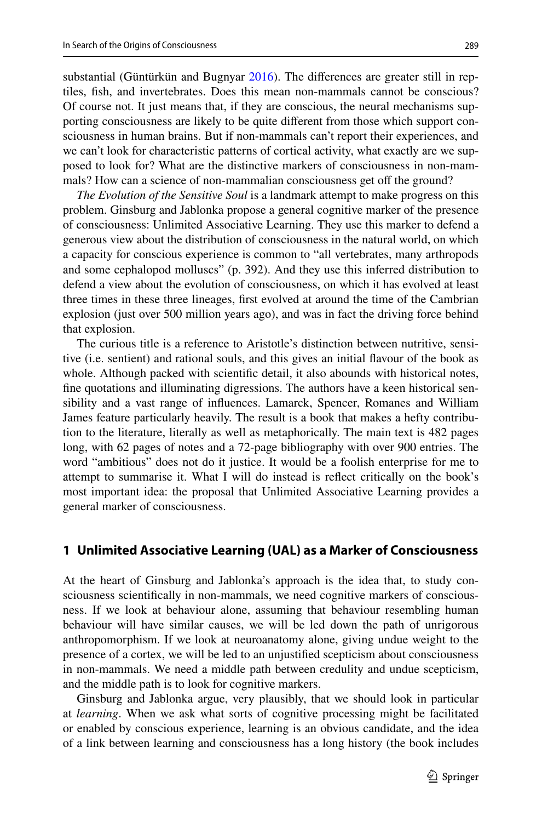substantial (Güntürkün and Bugnyar [2016\)](#page-6-4). The diferences are greater still in reptiles, fsh, and invertebrates. Does this mean non-mammals cannot be conscious? Of course not. It just means that, if they are conscious, the neural mechanisms supporting consciousness are likely to be quite diferent from those which support consciousness in human brains. But if non-mammals can't report their experiences, and we can't look for characteristic patterns of cortical activity, what exactly are we supposed to look for? What are the distinctive markers of consciousness in non-mammals? How can a science of non-mammalian consciousness get off the ground?

*The Evolution of the Sensitive Soul* is a landmark attempt to make progress on this problem. Ginsburg and Jablonka propose a general cognitive marker of the presence of consciousness: Unlimited Associative Learning. They use this marker to defend a generous view about the distribution of consciousness in the natural world, on which a capacity for conscious experience is common to "all vertebrates, many arthropods and some cephalopod molluscs" (p. 392). And they use this inferred distribution to defend a view about the evolution of consciousness, on which it has evolved at least three times in these three lineages, frst evolved at around the time of the Cambrian explosion (just over 500 million years ago), and was in fact the driving force behind that explosion.

The curious title is a reference to Aristotle's distinction between nutritive, sensitive (i.e. sentient) and rational souls, and this gives an initial favour of the book as whole. Although packed with scientifc detail, it also abounds with historical notes, fne quotations and illuminating digressions. The authors have a keen historical sensibility and a vast range of infuences. Lamarck, Spencer, Romanes and William James feature particularly heavily. The result is a book that makes a hefty contribution to the literature, literally as well as metaphorically. The main text is 482 pages long, with 62 pages of notes and a 72-page bibliography with over 900 entries. The word "ambitious" does not do it justice. It would be a foolish enterprise for me to attempt to summarise it. What I will do instead is refect critically on the book's most important idea: the proposal that Unlimited Associative Learning provides a general marker of consciousness.

#### **1 Unlimited Associative Learning (UAL) as a Marker of Consciousness**

At the heart of Ginsburg and Jablonka's approach is the idea that, to study consciousness scientifcally in non-mammals, we need cognitive markers of consciousness. If we look at behaviour alone, assuming that behaviour resembling human behaviour will have similar causes, we will be led down the path of unrigorous anthropomorphism. If we look at neuroanatomy alone, giving undue weight to the presence of a cortex, we will be led to an unjustifed scepticism about consciousness in non-mammals. We need a middle path between credulity and undue scepticism, and the middle path is to look for cognitive markers.

Ginsburg and Jablonka argue, very plausibly, that we should look in particular at *learning*. When we ask what sorts of cognitive processing might be facilitated or enabled by conscious experience, learning is an obvious candidate, and the idea of a link between learning and consciousness has a long history (the book includes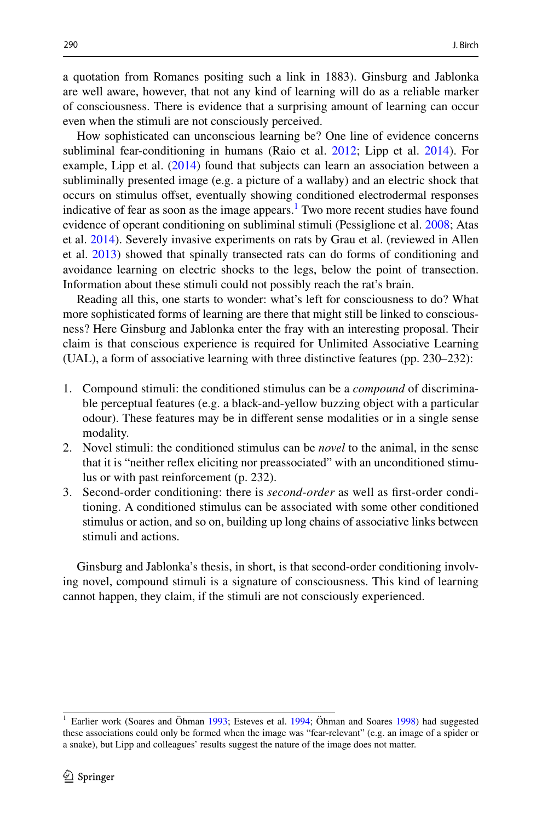a quotation from Romanes positing such a link in 1883). Ginsburg and Jablonka are well aware, however, that not any kind of learning will do as a reliable marker of consciousness. There is evidence that a surprising amount of learning can occur even when the stimuli are not consciously perceived.

How sophisticated can unconscious learning be? One line of evidence concerns subliminal fear-conditioning in humans (Raio et al. [2012](#page-7-2); Lipp et al. [2014](#page-7-3)). For example, Lipp et al. [\(2014](#page-7-3)) found that subjects can learn an association between a subliminally presented image (e.g. a picture of a wallaby) and an electric shock that occurs on stimulus ofset, eventually showing conditioned electrodermal responses indicative of fear as soon as the image appears.<sup>[1](#page-3-0)</sup> Two more recent studies have found evidence of operant conditioning on subliminal stimuli (Pessiglione et al. [2008;](#page-7-4) Atas et al. [2014](#page-6-5)). Severely invasive experiments on rats by Grau et al. (reviewed in Allen et al. [2013\)](#page-6-6) showed that spinally transected rats can do forms of conditioning and avoidance learning on electric shocks to the legs, below the point of transection. Information about these stimuli could not possibly reach the rat's brain.

Reading all this, one starts to wonder: what's left for consciousness to do? What more sophisticated forms of learning are there that might still be linked to consciousness? Here Ginsburg and Jablonka enter the fray with an interesting proposal. Their claim is that conscious experience is required for Unlimited Associative Learning (UAL), a form of associative learning with three distinctive features (pp. 230–232):

- 1. Compound stimuli: the conditioned stimulus can be a *compound* of discriminable perceptual features (e.g. a black-and-yellow buzzing object with a particular odour). These features may be in diferent sense modalities or in a single sense modality.
- 2. Novel stimuli: the conditioned stimulus can be *novel* to the animal, in the sense that it is "neither refex eliciting nor preassociated" with an unconditioned stimulus or with past reinforcement (p. 232).
- 3. Second-order conditioning: there is *second*-*order* as well as frst-order conditioning. A conditioned stimulus can be associated with some other conditioned stimulus or action, and so on, building up long chains of associative links between stimuli and actions.

Ginsburg and Jablonka's thesis, in short, is that second-order conditioning involving novel, compound stimuli is a signature of consciousness. This kind of learning cannot happen, they claim, if the stimuli are not consciously experienced.

<span id="page-3-0"></span><sup>&</sup>lt;sup>1</sup> Earlier work (Soares and Öhman [1993;](#page-7-5) Esteves et al. [1994](#page-6-7); Öhman and Soares [1998](#page-7-6)) had suggested these associations could only be formed when the image was "fear-relevant" (e.g. an image of a spider or a snake), but Lipp and colleagues' results suggest the nature of the image does not matter.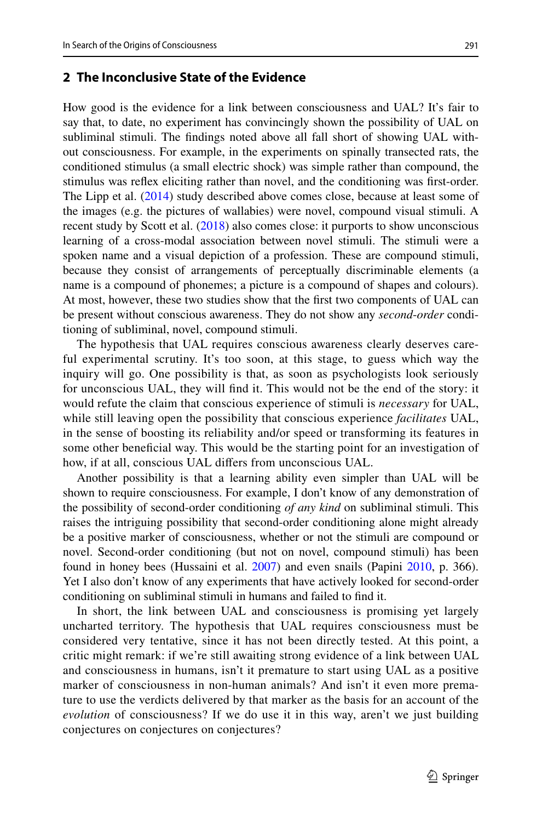## **2 The Inconclusive State of the Evidence**

How good is the evidence for a link between consciousness and UAL? It's fair to say that, to date, no experiment has convincingly shown the possibility of UAL on subliminal stimuli. The fndings noted above all fall short of showing UAL without consciousness. For example, in the experiments on spinally transected rats, the conditioned stimulus (a small electric shock) was simple rather than compound, the stimulus was refex eliciting rather than novel, and the conditioning was frst-order. The Lipp et al. [\(2014](#page-7-3)) study described above comes close, because at least some of the images (e.g. the pictures of wallabies) were novel, compound visual stimuli. A recent study by Scott et al. ([2018\)](#page-7-7) also comes close: it purports to show unconscious learning of a cross-modal association between novel stimuli. The stimuli were a spoken name and a visual depiction of a profession. These are compound stimuli, because they consist of arrangements of perceptually discriminable elements (a name is a compound of phonemes; a picture is a compound of shapes and colours). At most, however, these two studies show that the frst two components of UAL can be present without conscious awareness. They do not show any *second*-*order* conditioning of subliminal, novel, compound stimuli.

The hypothesis that UAL requires conscious awareness clearly deserves careful experimental scrutiny. It's too soon, at this stage, to guess which way the inquiry will go. One possibility is that, as soon as psychologists look seriously for unconscious UAL, they will fnd it. This would not be the end of the story: it would refute the claim that conscious experience of stimuli is *necessary* for UAL, while still leaving open the possibility that conscious experience *facilitates* UAL, in the sense of boosting its reliability and/or speed or transforming its features in some other benefcial way. This would be the starting point for an investigation of how, if at all, conscious UAL difers from unconscious UAL.

Another possibility is that a learning ability even simpler than UAL will be shown to require consciousness. For example, I don't know of any demonstration of the possibility of second-order conditioning *of any kind* on subliminal stimuli. This raises the intriguing possibility that second-order conditioning alone might already be a positive marker of consciousness, whether or not the stimuli are compound or novel. Second-order conditioning (but not on novel, compound stimuli) has been found in honey bees (Hussaini et al. [2007](#page-6-8)) and even snails (Papini [2010](#page-7-8), p. 366). Yet I also don't know of any experiments that have actively looked for second-order conditioning on subliminal stimuli in humans and failed to fnd it.

In short, the link between UAL and consciousness is promising yet largely uncharted territory. The hypothesis that UAL requires consciousness must be considered very tentative, since it has not been directly tested. At this point, a critic might remark: if we're still awaiting strong evidence of a link between UAL and consciousness in humans, isn't it premature to start using UAL as a positive marker of consciousness in non-human animals? And isn't it even more premature to use the verdicts delivered by that marker as the basis for an account of the *evolution* of consciousness? If we do use it in this way, aren't we just building conjectures on conjectures on conjectures?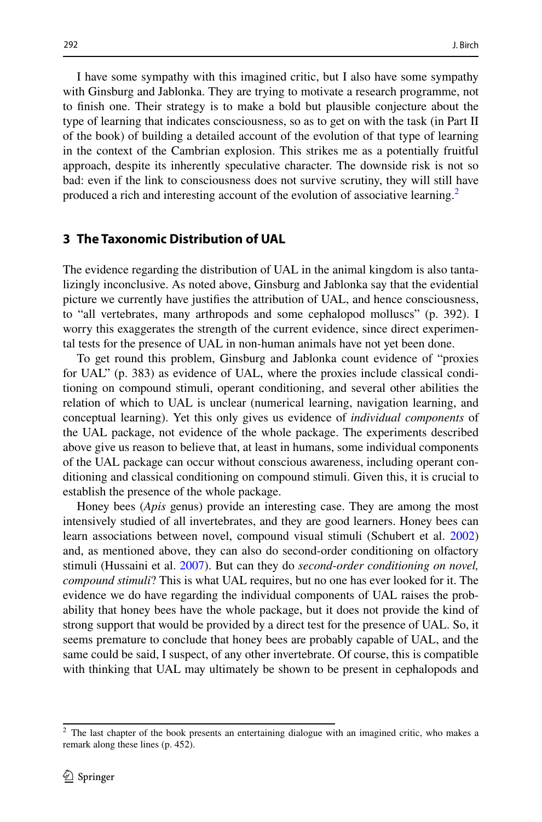I have some sympathy with this imagined critic, but I also have some sympathy with Ginsburg and Jablonka. They are trying to motivate a research programme, not to fnish one. Their strategy is to make a bold but plausible conjecture about the type of learning that indicates consciousness, so as to get on with the task (in Part II of the book) of building a detailed account of the evolution of that type of learning in the context of the Cambrian explosion. This strikes me as a potentially fruitful approach, despite its inherently speculative character. The downside risk is not so bad: even if the link to consciousness does not survive scrutiny, they will still have produced a rich and interesting account of the evolution of associative learning.<sup>[2](#page-5-0)</sup>

#### **3 The Taxonomic Distribution of UAL**

The evidence regarding the distribution of UAL in the animal kingdom is also tantalizingly inconclusive. As noted above, Ginsburg and Jablonka say that the evidential picture we currently have justifes the attribution of UAL, and hence consciousness, to "all vertebrates, many arthropods and some cephalopod molluscs" (p. 392). I worry this exaggerates the strength of the current evidence, since direct experimental tests for the presence of UAL in non-human animals have not yet been done.

To get round this problem, Ginsburg and Jablonka count evidence of "proxies for UAL" (p. 383) as evidence of UAL, where the proxies include classical conditioning on compound stimuli, operant conditioning, and several other abilities the relation of which to UAL is unclear (numerical learning, navigation learning, and conceptual learning). Yet this only gives us evidence of *individual components* of the UAL package, not evidence of the whole package. The experiments described above give us reason to believe that, at least in humans, some individual components of the UAL package can occur without conscious awareness, including operant conditioning and classical conditioning on compound stimuli. Given this, it is crucial to establish the presence of the whole package.

Honey bees (*Apis* genus) provide an interesting case. They are among the most intensively studied of all invertebrates, and they are good learners. Honey bees can learn associations between novel, compound visual stimuli (Schubert et al. [2002](#page-7-9)) and, as mentioned above, they can also do second-order conditioning on olfactory stimuli (Hussaini et al. [2007\)](#page-6-8). But can they do *second*-*order conditioning on novel, compound stimuli*? This is what UAL requires, but no one has ever looked for it. The evidence we do have regarding the individual components of UAL raises the probability that honey bees have the whole package, but it does not provide the kind of strong support that would be provided by a direct test for the presence of UAL. So, it seems premature to conclude that honey bees are probably capable of UAL, and the same could be said, I suspect, of any other invertebrate. Of course, this is compatible with thinking that UAL may ultimately be shown to be present in cephalopods and

<span id="page-5-0"></span> $2$  The last chapter of the book presents an entertaining dialogue with an imagined critic, who makes a remark along these lines (p. 452).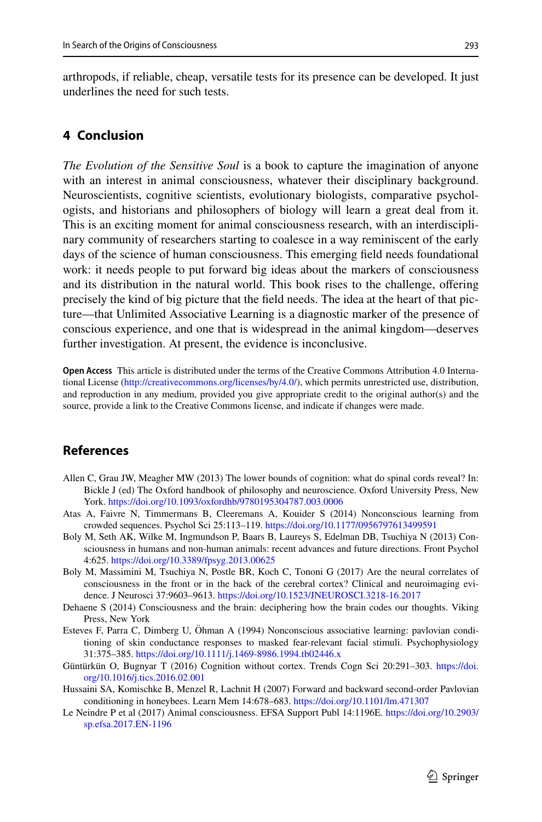arthropods, if reliable, cheap, versatile tests for its presence can be developed. It just underlines the need for such tests.

## **4 Conclusion**

*The Evolution of the Sensitive Soul* is a book to capture the imagination of anyone with an interest in animal consciousness, whatever their disciplinary background. Neuroscientists, cognitive scientists, evolutionary biologists, comparative psychologists, and historians and philosophers of biology will learn a great deal from it. This is an exciting moment for animal consciousness research, with an interdisciplinary community of researchers starting to coalesce in a way reminiscent of the early days of the science of human consciousness. This emerging feld needs foundational work: it needs people to put forward big ideas about the markers of consciousness and its distribution in the natural world. This book rises to the challenge, ofering precisely the kind of big picture that the feld needs. The idea at the heart of that picture—that Unlimited Associative Learning is a diagnostic marker of the presence of conscious experience, and one that is widespread in the animal kingdom—deserves further investigation. At present, the evidence is inconclusive.

**Open Access** This article is distributed under the terms of the Creative Commons Attribution 4.0 International License ([http://creativecommons.org/licenses/by/4.0/\)](http://creativecommons.org/licenses/by/4.0/), which permits unrestricted use, distribution, and reproduction in any medium, provided you give appropriate credit to the original author(s) and the source, provide a link to the Creative Commons license, and indicate if changes were made.

## **References**

- <span id="page-6-6"></span>Allen C, Grau JW, Meagher MW (2013) The lower bounds of cognition: what do spinal cords reveal? In: Bickle J (ed) The Oxford handbook of philosophy and neuroscience. Oxford University Press, New York. <https://doi.org/10.1093/oxfordhb/9780195304787.003.0006>
- <span id="page-6-5"></span>Atas A, Faivre N, Timmermans B, Cleeremans A, Kouider S (2014) Nonconscious learning from crowded sequences. Psychol Sci 25:113–119.<https://doi.org/10.1177/0956797613499591>
- <span id="page-6-2"></span>Boly M, Seth AK, Wilke M, Ingmundson P, Baars B, Laureys S, Edelman DB, Tsuchiya N (2013) Consciousness in humans and non-human animals: recent advances and future directions. Front Psychol 4:625.<https://doi.org/10.3389/fpsyg.2013.00625>
- <span id="page-6-1"></span>Boly M, Massimini M, Tsuchiya N, Postle BR, Koch C, Tononi G (2017) Are the neural correlates of consciousness in the front or in the back of the cerebral cortex? Clinical and neuroimaging evidence. J Neurosci 37:9603–9613. <https://doi.org/10.1523/JNEUROSCI.3218-16.2017>
- <span id="page-6-0"></span>Dehaene S (2014) Consciousness and the brain: deciphering how the brain codes our thoughts. Viking Press, New York
- <span id="page-6-7"></span>Esteves F, Parra C, Dimberg U, Öhman A (1994) Nonconscious associative learning: pavlovian conditioning of skin conductance responses to masked fear-relevant facial stimuli. Psychophysiology 31:375–385.<https://doi.org/10.1111/j.1469-8986.1994.tb02446.x>
- <span id="page-6-4"></span>Güntürkün O, Bugnyar T (2016) Cognition without cortex. Trends Cogn Sci 20:291–303. [https://doi.](https://doi.org/10.1016/j.tics.2016.02.001) [org/10.1016/j.tics.2016.02.001](https://doi.org/10.1016/j.tics.2016.02.001)
- <span id="page-6-8"></span>Hussaini SA, Komischke B, Menzel R, Lachnit H (2007) Forward and backward second-order Pavlovian conditioning in honeybees. Learn Mem 14:678–683.<https://doi.org/10.1101/lm.471307>
- <span id="page-6-3"></span>Le Neindre P et al (2017) Animal consciousness. EFSA Support Publ 14:1196E. [https://doi.org/10.2903/](https://doi.org/10.2903/sp.efsa.2017.EN-1196) [sp.efsa.2017.EN-1196](https://doi.org/10.2903/sp.efsa.2017.EN-1196)